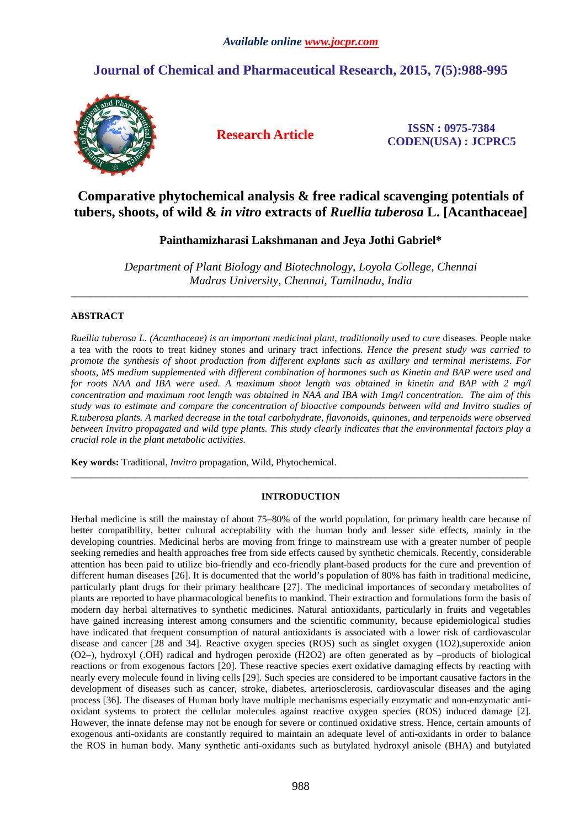# **Journal of Chemical and Pharmaceutical Research, 2015, 7(5):988-995**



**Research Article ISSN : 0975-7384 CODEN(USA) : JCPRC5**

# **Comparative phytochemical analysis & free radical scavenging potentials of tubers, shoots, of wild &** *in vitro* **extracts of** *Ruellia tuberosa* **L. [Acanthaceae]**

## **Painthamizharasi Lakshmanan and Jeya Jothi Gabriel\***

*Department of Plant Biology and Biotechnology, Loyola College, Chennai Madras University, Chennai, Tamilnadu, India* 

\_\_\_\_\_\_\_\_\_\_\_\_\_\_\_\_\_\_\_\_\_\_\_\_\_\_\_\_\_\_\_\_\_\_\_\_\_\_\_\_\_\_\_\_\_\_\_\_\_\_\_\_\_\_\_\_\_\_\_\_\_\_\_\_\_\_\_\_\_\_\_\_\_\_\_\_\_\_\_\_\_\_\_\_\_\_\_\_\_\_\_\_\_

## **ABSTRACT**

*Ruellia tuberosa L. (Acanthaceae) is an important medicinal plant, traditionally used to cure* diseases. People make a tea with the roots to treat kidney stones and urinary tract infections*. Hence the present study was carried to promote the synthesis of shoot production from different explants such as axillary and terminal meristems. For shoots, MS medium supplemented with different combination of hormones such as Kinetin and BAP were used and for roots NAA and IBA were used. A maximum shoot length was obtained in kinetin and BAP with 2 mg/l concentration and maximum root length was obtained in NAA and IBA with 1mg/l concentration. The aim of this study was to estimate and compare the concentration of bioactive compounds between wild and Invitro studies of R.tuberosa plants. A marked decrease in the total carbohydrate, flavonoids, quinones, and terpenoids were observed between Invitro propagated and wild type plants. This study clearly indicates that the environmental factors play a crucial role in the plant metabolic activities.*

**Key words:** Traditional, *Invitro* propagation, Wild, Phytochemical.

## **INTRODUCTION**

\_\_\_\_\_\_\_\_\_\_\_\_\_\_\_\_\_\_\_\_\_\_\_\_\_\_\_\_\_\_\_\_\_\_\_\_\_\_\_\_\_\_\_\_\_\_\_\_\_\_\_\_\_\_\_\_\_\_\_\_\_\_\_\_\_\_\_\_\_\_\_\_\_\_\_\_\_\_\_\_\_\_\_\_\_\_\_\_\_\_\_\_\_

Herbal medicine is still the mainstay of about 75–80% of the world population, for primary health care because of better compatibility, better cultural acceptability with the human body and lesser side effects, mainly in the developing countries. Medicinal herbs are moving from fringe to mainstream use with a greater number of people seeking remedies and health approaches free from side effects caused by synthetic chemicals. Recently, considerable attention has been paid to utilize bio-friendly and eco-friendly plant-based products for the cure and prevention of different human diseases [26]. It is documented that the world's population of 80% has faith in traditional medicine, particularly plant drugs for their primary healthcare [27]. The medicinal importances of secondary metabolites of plants are reported to have pharmacological benefits to mankind. Their extraction and formulations form the basis of modern day herbal alternatives to synthetic medicines. Natural antioxidants, particularly in fruits and vegetables have gained increasing interest among consumers and the scientific community, because epidemiological studies have indicated that frequent consumption of natural antioxidants is associated with a lower risk of cardiovascular disease and cancer [28 and 34]. Reactive oxygen species (ROS) such as singlet oxygen (1O2), superoxide anion (O2–), hydroxyl (.OH) radical and hydrogen peroxide (H2O2) are often generated as by –products of biological reactions or from exogenous factors [20]. These reactive species exert oxidative damaging effects by reacting with nearly every molecule found in living cells [29]. Such species are considered to be important causative factors in the development of diseases such as cancer, stroke, diabetes, arteriosclerosis, cardiovascular diseases and the aging process [36]. The diseases of Human body have multiple mechanisms especially enzymatic and non-enzymatic antioxidant systems to protect the cellular molecules against reactive oxygen species (ROS) induced damage [2]. However, the innate defense may not be enough for severe or continued oxidative stress. Hence, certain amounts of exogenous anti-oxidants are constantly required to maintain an adequate level of anti-oxidants in order to balance the ROS in human body. Many synthetic anti-oxidants such as butylated hydroxyl anisole (BHA) and butylated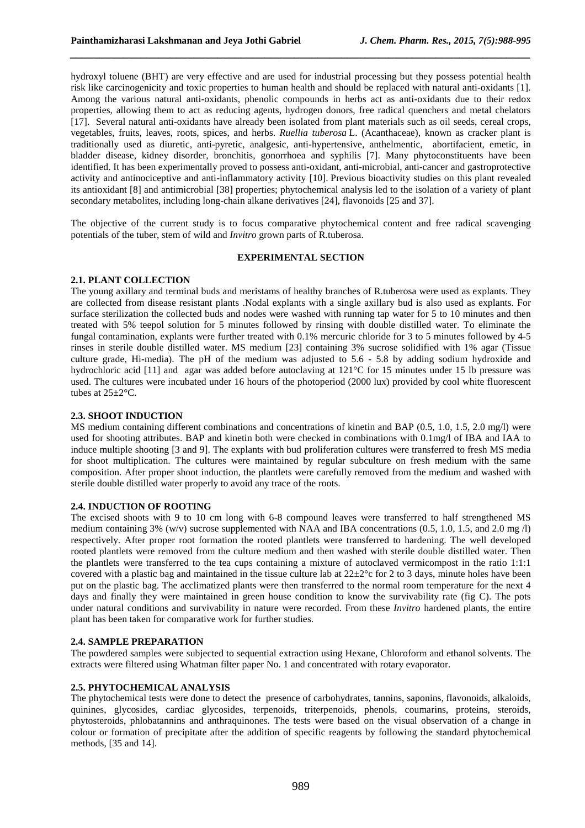hydroxyl toluene (BHT) are very effective and are used for industrial processing but they possess potential health risk like carcinogenicity and toxic properties to human health and should be replaced with natural anti-oxidants [1]. Among the various natural anti-oxidants, phenolic compounds in herbs act as anti-oxidants due to their redox properties, allowing them to act as reducing agents, hydrogen donors, free radical quenchers and metal chelators [17]. Several natural anti-oxidants have already been isolated from plant materials such as oil seeds, cereal crops, vegetables, fruits, leaves, roots, spices, and herbs. *Ruellia tuberosa* L. (Acanthaceae), known as cracker plant is traditionally used as diuretic, anti-pyretic, analgesic, anti-hypertensive, anthelmentic, abortifacient, emetic, in bladder disease, kidney disorder, bronchitis, gonorrhoea and syphilis [7]. Many phytoconstituents have been identified. It has been experimentally proved to possess anti-oxidant, anti-microbial, anti-cancer and gastroprotective activity and antinociceptive and anti-inflammatory activity [10]. Previous bioactivity studies on this plant revealed its antioxidant [8] and antimicrobial [38] properties; phytochemical analysis led to the isolation of a variety of plant secondary metabolites, including long-chain alkane derivatives [24], flavonoids [25 and 37].

*\_\_\_\_\_\_\_\_\_\_\_\_\_\_\_\_\_\_\_\_\_\_\_\_\_\_\_\_\_\_\_\_\_\_\_\_\_\_\_\_\_\_\_\_\_\_\_\_\_\_\_\_\_\_\_\_\_\_\_\_\_\_\_\_\_\_\_\_\_\_\_\_\_\_\_\_\_\_*

The objective of the current study is to focus comparative phytochemical content and free radical scavenging potentials of the tuber, stem of wild and *Invitro* grown parts of R.tuberosa.

#### **EXPERIMENTAL SECTION**

### **2.1. PLANT COLLECTION**

The young axillary and terminal buds and meristams of healthy branches of R.tuberosa were used as explants. They are collected from disease resistant plants .Nodal explants with a single axillary bud is also used as explants. For surface sterilization the collected buds and nodes were washed with running tap water for 5 to 10 minutes and then treated with 5% teepol solution for 5 minutes followed by rinsing with double distilled water. To eliminate the fungal contamination, explants were further treated with 0.1% mercuric chloride for 3 to 5 minutes followed by 4-5 rinses in sterile double distilled water. MS medium [23] containing 3% sucrose solidified with 1% agar (Tissue culture grade, Hi-media). The pH of the medium was adjusted to 5.6 - 5.8 by adding sodium hydroxide and hydrochloric acid [11] and agar was added before autoclaving at 121°C for 15 minutes under 15 lb pressure was used. The cultures were incubated under 16 hours of the photoperiod (2000 lux) provided by cool white fluorescent tubes at 25±2°C.

### **2.3. SHOOT INDUCTION**

MS medium containing different combinations and concentrations of kinetin and BAP (0.5, 1.0, 1.5, 2.0 mg/l) were used for shooting attributes. BAP and kinetin both were checked in combinations with 0.1mg/l of IBA and IAA to induce multiple shooting [3 and 9]. The explants with bud proliferation cultures were transferred to fresh MS media for shoot multiplication. The cultures were maintained by regular subculture on fresh medium with the same composition. After proper shoot induction, the plantlets were carefully removed from the medium and washed with sterile double distilled water properly to avoid any trace of the roots.

### **2.4. INDUCTION OF ROOTING**

The excised shoots with 9 to 10 cm long with 6-8 compound leaves were transferred to half strengthened MS medium containing 3% (w/v) sucrose supplemented with NAA and IBA concentrations (0.5, 1.0, 1.5, and 2.0 mg /l) respectively. After proper root formation the rooted plantlets were transferred to hardening. The well developed rooted plantlets were removed from the culture medium and then washed with sterile double distilled water. Then the plantlets were transferred to the tea cups containing a mixture of autoclaved vermicompost in the ratio 1:1:1 covered with a plastic bag and maintained in the tissue culture lab at  $22\pm2^{\circ}$  for 2 to 3 days, minute holes have been put on the plastic bag. The acclimatized plants were then transferred to the normal room temperature for the next 4 days and finally they were maintained in green house condition to know the survivability rate (fig C). The pots under natural conditions and survivability in nature were recorded. From these *Invitro* hardened plants, the entire plant has been taken for comparative work for further studies.

### **2.4. SAMPLE PREPARATION**

The powdered samples were subjected to sequential extraction using Hexane, Chloroform and ethanol solvents. The extracts were filtered using Whatman filter paper No. 1 and concentrated with rotary evaporator.

### **2.5. PHYTOCHEMICAL ANALYSIS**

The phytochemical tests were done to detect the presence of carbohydrates, tannins, saponins, flavonoids, alkaloids, quinines, glycosides, cardiac glycosides, terpenoids, triterpenoids, phenols, coumarins, proteins, steroids, phytosteroids, phlobatannins and anthraquinones. The tests were based on the visual observation of a change in colour or formation of precipitate after the addition of specific reagents by following the standard phytochemical methods, [35 and 14].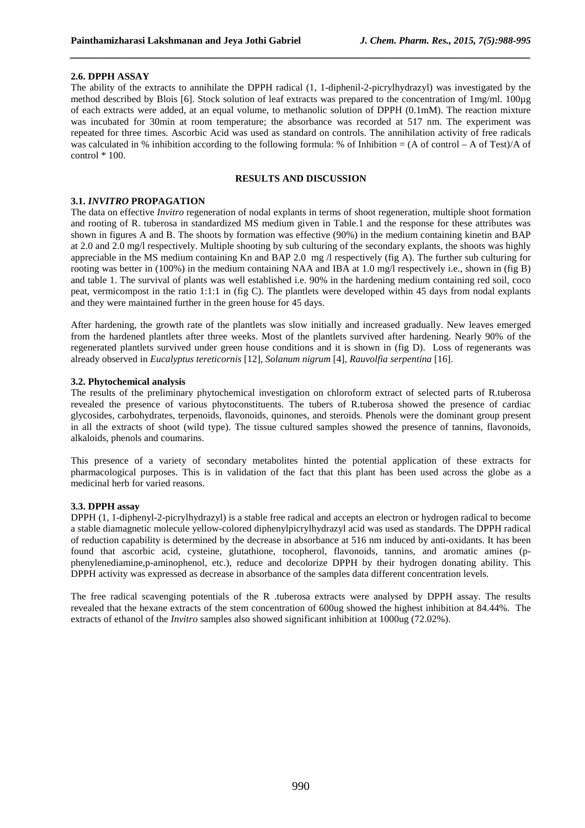#### **2.6. DPPH ASSAY**

The ability of the extracts to annihilate the DPPH radical (1, 1-diphenil-2-picrylhydrazyl) was investigated by the method described by Blois [6]. Stock solution of leaf extracts was prepared to the concentration of 1mg/ml. 100µg of each extracts were added, at an equal volume, to methanolic solution of DPPH (0.1mM). The reaction mixture was incubated for 30min at room temperature; the absorbance was recorded at 517 nm. The experiment was repeated for three times. Ascorbic Acid was used as standard on controls. The annihilation activity of free radicals was calculated in % inhibition according to the following formula: % of Inhibition = (A of control – A of Test)/A of  $control * 100.$ 

*\_\_\_\_\_\_\_\_\_\_\_\_\_\_\_\_\_\_\_\_\_\_\_\_\_\_\_\_\_\_\_\_\_\_\_\_\_\_\_\_\_\_\_\_\_\_\_\_\_\_\_\_\_\_\_\_\_\_\_\_\_\_\_\_\_\_\_\_\_\_\_\_\_\_\_\_\_\_*

## **RESULTS AND DISCUSSION**

#### **3.1.** *INVITRO* **PROPAGATION**

The data on effective *Invitro* regeneration of nodal explants in terms of shoot regeneration, multiple shoot formation and rooting of R. tuberosa in standardized MS medium given in Table.1 and the response for these attributes was shown in figures A and B. The shoots by formation was effective (90%) in the medium containing kinetin and BAP at 2.0 and 2.0 mg/l respectively. Multiple shooting by sub culturing of the secondary explants, the shoots was highly appreciable in the MS medium containing Kn and BAP 2.0 mg /l respectively (fig A). The further sub culturing for rooting was better in (100%) in the medium containing NAA and IBA at 1.0 mg/l respectively i.e., shown in (fig B) and table 1. The survival of plants was well established i.e. 90% in the hardening medium containing red soil, coco peat, vermicompost in the ratio 1:1:1 in (fig C). The plantlets were developed within 45 days from nodal explants and they were maintained further in the green house for 45 days.

After hardening, the growth rate of the plantlets was slow initially and increased gradually. New leaves emerged from the hardened plantlets after three weeks. Most of the plantlets survived after hardening. Nearly 90% of the regenerated plantlets survived under green house conditions and it is shown in (fig D). Loss of regenerants was already observed in *Eucalyptus tereticornis* [12], *Solanum nigrum* [4], *Rauvolfia serpentina* [16].

#### **3.2. Phytochemical analysis**

The results of the preliminary phytochemical investigation on chloroform extract of selected parts of R.tuberosa revealed the presence of various phytoconstituents. The tubers of R.tuberosa showed the presence of cardiac glycosides, carbohydrates, terpenoids, flavonoids, quinones, and steroids. Phenols were the dominant group present in all the extracts of shoot (wild type). The tissue cultured samples showed the presence of tannins, flavonoids, alkaloids, phenols and coumarins.

This presence of a variety of secondary metabolites hinted the potential application of these extracts for pharmacological purposes. This is in validation of the fact that this plant has been used across the globe as a medicinal herb for varied reasons.

### **3.3. DPPH assay**

DPPH (1, 1-diphenyl-2-picrylhydrazyl) is a stable free radical and accepts an electron or hydrogen radical to become a stable diamagnetic molecule yellow-colored diphenylpicrylhydrazyl acid was used as standards. The DPPH radical of reduction capability is determined by the decrease in absorbance at 516 nm induced by anti-oxidants. It has been found that ascorbic acid, cysteine, glutathione, tocopherol, flavonoids, tannins, and aromatic amines (pphenylenediamine,p-aminophenol, etc.), reduce and decolorize DPPH by their hydrogen donating ability. This DPPH activity was expressed as decrease in absorbance of the samples data different concentration levels.

The free radical scavenging potentials of the R .tuberosa extracts were analysed by DPPH assay. The results revealed that the hexane extracts of the stem concentration of 600ug showed the highest inhibition at 84.44%. The extracts of ethanol of the *Invitro* samples also showed significant inhibition at 1000ug (72.02%).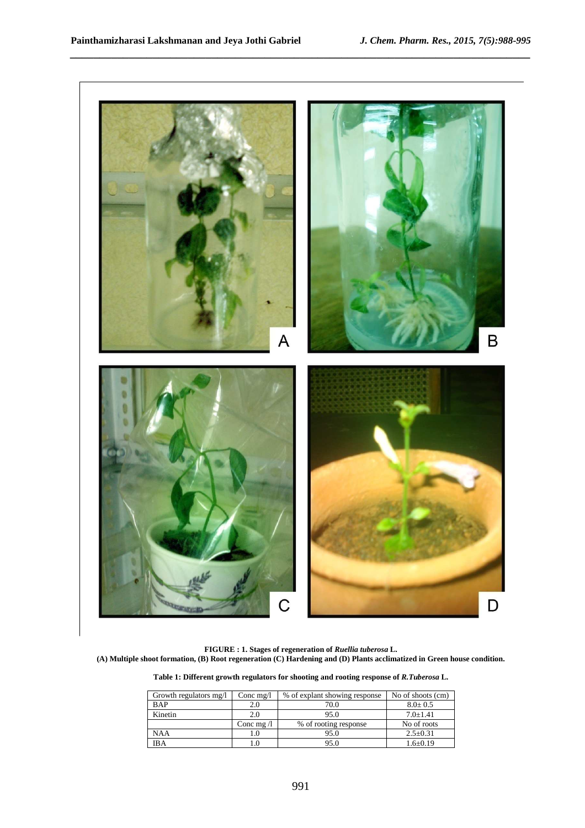

*\_\_\_\_\_\_\_\_\_\_\_\_\_\_\_\_\_\_\_\_\_\_\_\_\_\_\_\_\_\_\_\_\_\_\_\_\_\_\_\_\_\_\_\_\_\_\_\_\_\_\_\_\_\_\_\_\_\_\_\_\_\_\_\_\_\_\_\_\_\_\_\_\_\_\_\_\_\_*

**FIGURE : 1. Stages of regeneration of** *Ruellia tuberosa* **L. (A) Multiple shoot formation, (B) Root regeneration (C) Hardening and (D) Plants acclimatized in Green house condition.** 

**Table 1: Different growth regulators for shooting and rooting response of** *R.Tuberosa* **L.** 

| Growth regulators mg/l | Conc mg/l         | % of explant showing response | No of shoots (cm) |
|------------------------|-------------------|-------------------------------|-------------------|
| <b>BAP</b>             | 2.0               | 70.0                          | $8.0 \pm 0.5$     |
| Kinetin                | 2.0               | 95.0                          | $7.0+1.41$        |
|                        | Conc mg $\Lambda$ | % of rooting response         | No of roots       |
| <b>NAA</b>             | 1.0               | 95.0                          | $2.5 \pm 0.31$    |
| <b>IBA</b>             |                   | 95.0                          | $1.6 \pm 0.19$    |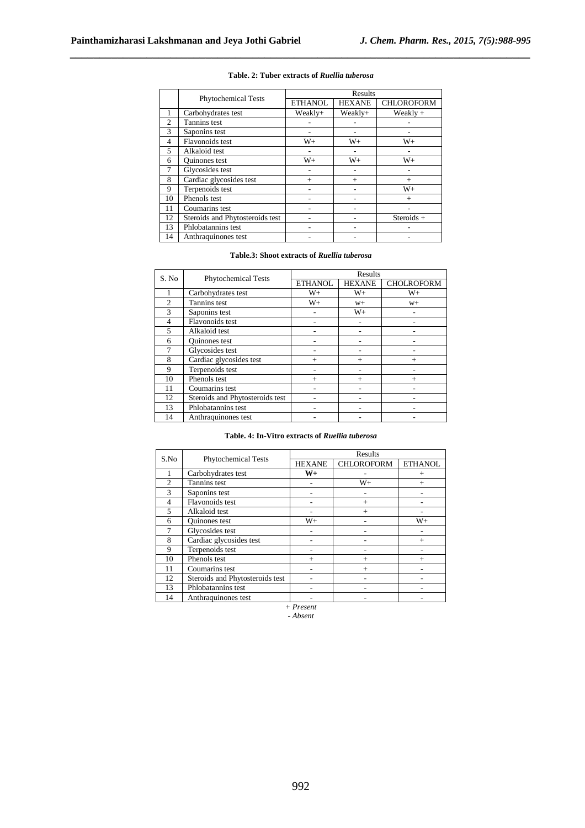|                | <b>Phytochemical Tests</b>      | Results        |               |                   |  |
|----------------|---------------------------------|----------------|---------------|-------------------|--|
|                |                                 | <b>ETHANOL</b> | <b>HEXANE</b> | <b>CHLOROFORM</b> |  |
|                | Carbohydrates test              | Weakly+        | Weakly+       | Weakly $+$        |  |
| $\overline{2}$ | Tannins test                    |                |               |                   |  |
| 3              | Saponins test                   |                |               |                   |  |
| 4              | Flavonoids test                 | $W_{+}$        | $W_{+}$       | $W_{+}$           |  |
| 5              | Alkaloid test                   | ۰              | ۰             | ۰                 |  |
| 6              | <b>Ouinones</b> test            | $W+$           | $W_{+}$       | $W+$              |  |
| 7              | Glycosides test                 |                |               |                   |  |
| 8              | Cardiac glycosides test         | $+$            | $+$           | $+$               |  |
| 9              | Terpenoids test                 |                |               | $W_{+}$           |  |
| 10             | Phenols test                    |                |               | $+$               |  |
| 11             | Coumarins test                  |                |               |                   |  |
| 12             | Steroids and Phytosteroids test |                |               | $Steroids +$      |  |
| 13             | Phlobatannins test              |                |               |                   |  |
| 14             | Anthraquinones test             |                |               |                   |  |

#### **Table. 2: Tuber extracts of** *Ruellia tuberosa*

*\_\_\_\_\_\_\_\_\_\_\_\_\_\_\_\_\_\_\_\_\_\_\_\_\_\_\_\_\_\_\_\_\_\_\_\_\_\_\_\_\_\_\_\_\_\_\_\_\_\_\_\_\_\_\_\_\_\_\_\_\_\_\_\_\_\_\_\_\_\_\_\_\_\_\_\_\_\_*

## **Table.3: Shoot extracts of** *Ruellia tuberosa*

| S. No          | <b>Phytochemical Tests</b>      | Results        |               |                   |  |
|----------------|---------------------------------|----------------|---------------|-------------------|--|
|                |                                 | <b>ETHANOL</b> | <b>HEXANE</b> | <b>CHOLROFORM</b> |  |
|                | Carbohydrates test              | $W+$           | $W+$          | $W_{+}$           |  |
| $\overline{c}$ | Tannins test                    | $W_{+}$        | $W+$          | $W+$              |  |
| $\mathcal{F}$  | Saponins test                   |                | $W_{+}$       |                   |  |
| 4              | <b>Flavonoids</b> test          |                |               |                   |  |
| 5              | Alkaloid test                   |                |               |                   |  |
| 6              | <b>Ouinones</b> test            |                |               |                   |  |
|                | Glycosides test                 |                |               |                   |  |
| 8              | Cardiac glycosides test         | $+$            | $+$           | $^{+}$            |  |
| 9              | Terpenoids test                 |                |               |                   |  |
| 10             | Phenols test                    | $^{+}$         | $+$           | $+$               |  |
| 11             | Coumarins test                  |                |               |                   |  |
| 12             | Steroids and Phytosteroids test |                |               |                   |  |
| 13             | Phlobatannins test              |                |               |                   |  |
| 14             | Anthraquinones test             |                |               |                   |  |

#### **Table. 4: In-Vitro extracts of** *Ruellia tuberosa*

| S.No           |                                 | Results       |                   |                |  |
|----------------|---------------------------------|---------------|-------------------|----------------|--|
|                | <b>Phytochemical Tests</b>      | <b>HEXANE</b> | <b>CHLOROFORM</b> | <b>ETHANOL</b> |  |
|                | Carbohydrates test              | $W+$          |                   | $^{+}$         |  |
| $\mathfrak{D}$ | Tannins test                    |               | $W+$              | $+$            |  |
| 3              | Saponins test                   |               |                   |                |  |
| 4              | Flavonoids test                 |               | $^{+}$            |                |  |
| 5              | Alkaloid test                   |               | $^{+}$            |                |  |
| 6              | <b>Ouinones</b> test            | $W+$          |                   | $W_{+}$        |  |
| 7              | Glycosides test                 |               |                   |                |  |
| 8              | Cardiac glycosides test         |               |                   | $+$            |  |
| 9              | Terpenoids test                 |               |                   |                |  |
| 10             | Phenols test                    | $^{+}$        | $^{+}$            | $^{+}$         |  |
| 11             | Coumarins test                  |               | $^{+}$            |                |  |
| 12             | Steroids and Phytosteroids test |               |                   |                |  |
| 13             | Phlobatannins test              |               |                   |                |  |
| 14             | Anthraquinones test             |               |                   |                |  |
| $+$ Present    |                                 |               |                   |                |  |

*- Absent*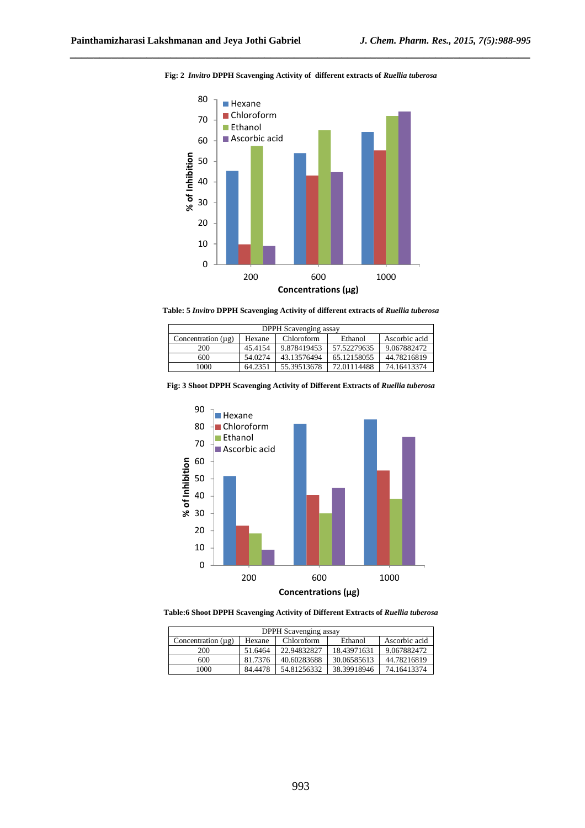

#### **Fig: 2** *Invitro* **DPPH Scavenging Activity of different extracts of** *Ruellia tuberosa*

*\_\_\_\_\_\_\_\_\_\_\_\_\_\_\_\_\_\_\_\_\_\_\_\_\_\_\_\_\_\_\_\_\_\_\_\_\_\_\_\_\_\_\_\_\_\_\_\_\_\_\_\_\_\_\_\_\_\_\_\_\_\_\_\_\_\_\_\_\_\_\_\_\_\_\_\_\_\_*

**Table: 5** *Invitro* **DPPH Scavenging Activity of different extracts of** *Ruellia tuberosa*

| DPPH Scavenging assay   |         |             |             |               |
|-------------------------|---------|-------------|-------------|---------------|
| Concentration $(\mu g)$ | Hexane  | Chloroform  | Ethanol     | Ascorbic acid |
| 200                     | 45.4154 | 9.878419453 | 57.52279635 | 9.067882472   |
| 600                     | 54.0274 | 43.13576494 | 65.12158055 | 44.78216819   |
| 1000                    | 64.2351 | 55.39513678 | 72.01114488 | 74.16413374   |





**Table:6 Shoot DPPH Scavenging Activity of Different Extracts of** *Ruellia tuberosa*

| DPPH Scavenging assay                                                       |         |             |             |             |  |
|-----------------------------------------------------------------------------|---------|-------------|-------------|-------------|--|
| Ascorbic acid<br>Ethanol<br>Concentration $(\mu g)$<br>Chloroform<br>Hexane |         |             |             |             |  |
| 200                                                                         | 51.6464 | 22.94832827 | 18.43971631 | 9.067882472 |  |
| 600                                                                         | 81.7376 | 40.60283688 | 30.06585613 | 44.78216819 |  |
| 1000                                                                        | 84.4478 | 54.81256332 | 38.39918946 | 74.16413374 |  |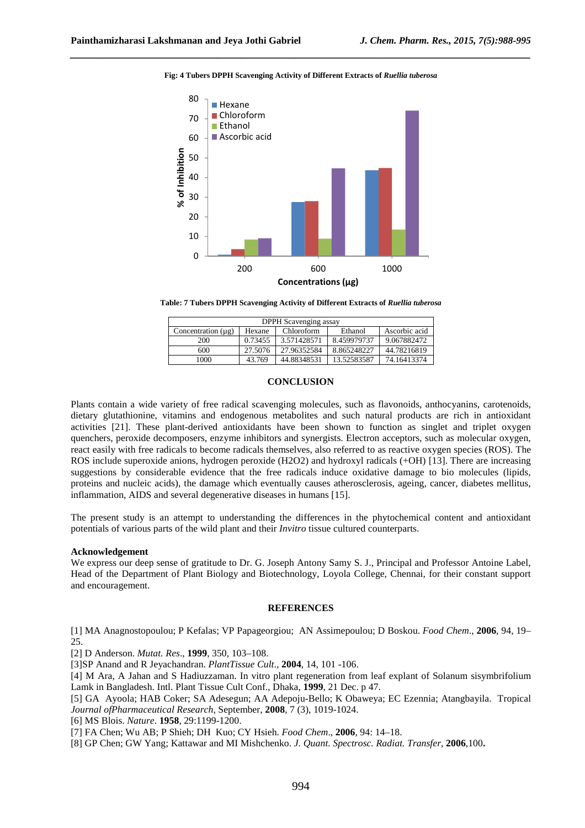

#### **Fig: 4 Tubers DPPH Scavenging Activity of Different Extracts of** *Ruellia tuberosa*

*\_\_\_\_\_\_\_\_\_\_\_\_\_\_\_\_\_\_\_\_\_\_\_\_\_\_\_\_\_\_\_\_\_\_\_\_\_\_\_\_\_\_\_\_\_\_\_\_\_\_\_\_\_\_\_\_\_\_\_\_\_\_\_\_\_\_\_\_\_\_\_\_\_\_\_\_\_\_*

**Table: 7 Tubers DPPH Scavenging Activity of Different Extracts of** *Ruellia tuberosa*

| DPPH Scavenging assay                                                       |         |             |             |             |
|-----------------------------------------------------------------------------|---------|-------------|-------------|-------------|
| Ascorbic acid<br>Concentration $(\mu g)$<br>Ethanol<br>Chloroform<br>Hexane |         |             |             |             |
| 200                                                                         | 0.73455 | 3.571428571 | 8.459979737 | 9.067882472 |
| 600                                                                         | 27.5076 | 27.96352584 | 8.865248227 | 44.78216819 |
| 1000                                                                        | 43.769  | 44.88348531 | 13.52583587 | 74.16413374 |

#### **CONCLUSION**

Plants contain a wide variety of free radical scavenging molecules, such as flavonoids, anthocyanins, carotenoids, dietary glutathionine, vitamins and endogenous metabolites and such natural products are rich in antioxidant activities [21]. These plant-derived antioxidants have been shown to function as singlet and triplet oxygen quenchers, peroxide decomposers, enzyme inhibitors and synergists. Electron acceptors, such as molecular oxygen, react easily with free radicals to become radicals themselves, also referred to as reactive oxygen species (ROS). The ROS include superoxide anions, hydrogen peroxide (H2O2) and hydroxyl radicals (+OH) [13]. There are increasing suggestions by considerable evidence that the free radicals induce oxidative damage to bio molecules (lipids, proteins and nucleic acids), the damage which eventually causes atherosclerosis, ageing, cancer, diabetes mellitus, inflammation, AIDS and several degenerative diseases in humans [15].

The present study is an attempt to understanding the differences in the phytochemical content and antioxidant potentials of various parts of the wild plant and their *Invitro* tissue cultured counterparts.

#### **Acknowledgement**

We express our deep sense of gratitude to Dr. G. Joseph Antony Samy S. J., Principal and Professor Antoine Label, Head of the Department of Plant Biology and Biotechnology, Loyola College, Chennai, for their constant support and encouragement.

#### **REFERENCES**

[1] MA Anagnostopoulou; P Kefalas; VP Papageorgiou; AN Assimepoulou; D Boskou. *Food Chem*., **2006**, 94, 19– 25.

[2] D Anderson. *Mutat. Res*., **1999**, 350, 103–108.

[3]SP Anand and R Jeyachandran. *PlantTissue Cult*., **2004**, 14, 101 -106.

[4] M Ara, A Jahan and S Hadiuzzaman. In vitro plant regeneration from leaf explant of Solanum sisymbrifolium Lamk in Bangladesh. Intl. Plant Tissue Cult Conf., Dhaka, **1999**, 21 Dec. p 47.

[5] GA Ayoola; HAB Coker; SA Adesegun; AA Adepoju-Bello; K Obaweya; EC Ezennia; Atangbayila. Tropical *Journal ofPharmaceutical Research*, September, **2008**, 7 (3), 1019-1024.

[6] MS Blois. *Nature*. **1958**, 29:1199-1200.

[7] FA Chen; Wu AB; P Shieh; DH Kuo; CY Hsieh. *Food Chem*., **2006**, 94: 14–18.

[8] GP Chen; GW Yang; Kattawar and MI Mishchenko. *J. Quant. Spectrosc. Radiat. Transfer*, **2006**,100**.**